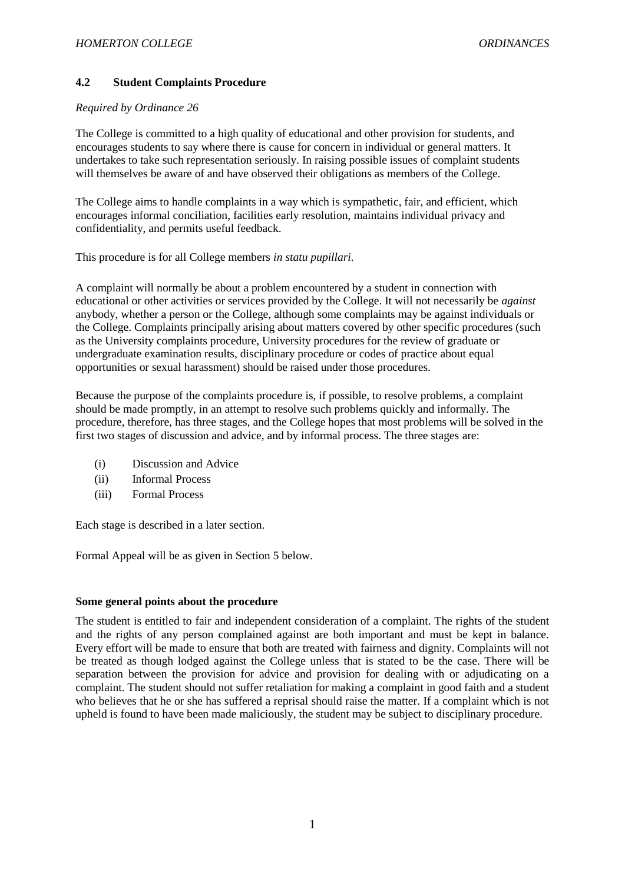# **4.2 Student Complaints Procedure**

#### *Required by Ordinance 26*

The College is committed to a high quality of educational and other provision for students, and encourages students to say where there is cause for concern in individual or general matters. It undertakes to take such representation seriously. In raising possible issues of complaint students will themselves be aware of and have observed their obligations as members of the College.

The College aims to handle complaints in a way which is sympathetic, fair, and efficient, which encourages informal conciliation, facilities early resolution, maintains individual privacy and confidentiality, and permits useful feedback.

This procedure is for all College members *in statu pupillari.*

A complaint will normally be about a problem encountered by a student in connection with educational or other activities or services provided by the College. It will not necessarily be *against* anybody, whether a person or the College, although some complaints may be against individuals or the College. Complaints principally arising about matters covered by other specific procedures (such as the University complaints procedure, University procedures for the review of graduate or undergraduate examination results, disciplinary procedure or codes of practice about equal opportunities or sexual harassment) should be raised under those procedures.

Because the purpose of the complaints procedure is, if possible, to resolve problems, a complaint should be made promptly, in an attempt to resolve such problems quickly and informally. The procedure, therefore, has three stages, and the College hopes that most problems will be solved in the first two stages of discussion and advice, and by informal process. The three stages are:

- (i) Discussion and Advice
- (ii) Informal Process
- (iii) Formal Process

Each stage is described in a later section.

Formal Appeal will be as given in Section 5 below.

## **Some general points about the procedure**

The student is entitled to fair and independent consideration of a complaint. The rights of the student and the rights of any person complained against are both important and must be kept in balance. Every effort will be made to ensure that both are treated with fairness and dignity. Complaints will not be treated as though lodged against the College unless that is stated to be the case. There will be separation between the provision for advice and provision for dealing with or adjudicating on a complaint. The student should not suffer retaliation for making a complaint in good faith and a student who believes that he or she has suffered a reprisal should raise the matter. If a complaint which is not upheld is found to have been made maliciously, the student may be subject to disciplinary procedure.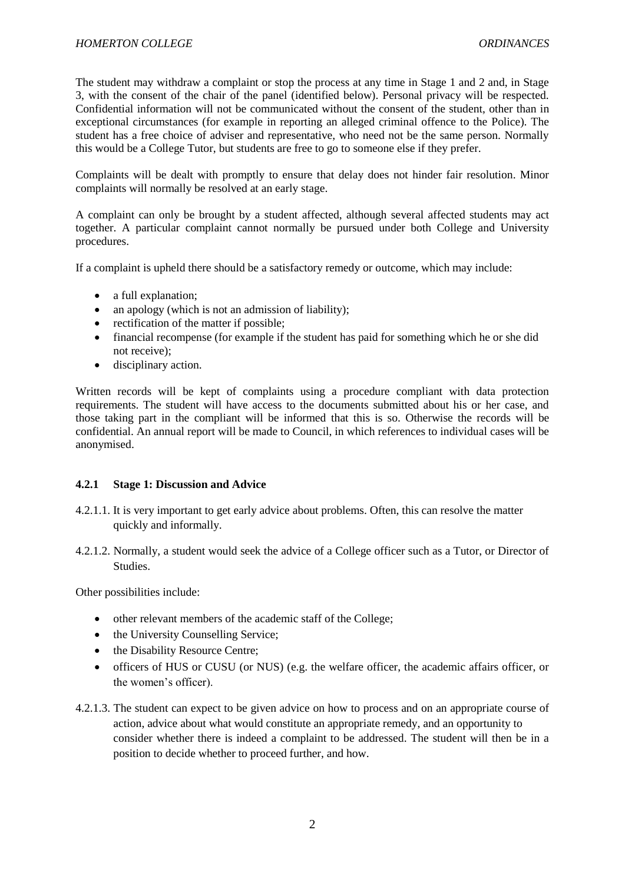The student may withdraw a complaint or stop the process at any time in Stage 1 and 2 and, in Stage 3, with the consent of the chair of the panel (identified below). Personal privacy will be respected. Confidential information will not be communicated without the consent of the student, other than in exceptional circumstances (for example in reporting an alleged criminal offence to the Police). The student has a free choice of adviser and representative, who need not be the same person. Normally this would be a College Tutor, but students are free to go to someone else if they prefer.

Complaints will be dealt with promptly to ensure that delay does not hinder fair resolution. Minor complaints will normally be resolved at an early stage.

A complaint can only be brought by a student affected, although several affected students may act together. A particular complaint cannot normally be pursued under both College and University procedures.

If a complaint is upheld there should be a satisfactory remedy or outcome, which may include:

- a full explanation:
- an apology (which is not an admission of liability);
- rectification of the matter if possible;
- financial recompense (for example if the student has paid for something which he or she did not receive);
- disciplinary action.

Written records will be kept of complaints using a procedure compliant with data protection requirements. The student will have access to the documents submitted about his or her case, and those taking part in the compliant will be informed that this is so. Otherwise the records will be confidential. An annual report will be made to Council, in which references to individual cases will be anonymised.

## **4.2.1 Stage 1: Discussion and Advice**

- 4.2.1.1. It is very important to get early advice about problems. Often, this can resolve the matter quickly and informally.
- 4.2.1.2. Normally, a student would seek the advice of a College officer such as a Tutor, or Director of **Studies**

Other possibilities include:

- other relevant members of the academic staff of the College;
- the University Counselling Service;
- the Disability Resource Centre:
- officers of HUS or CUSU (or NUS) (e.g. the welfare officer, the academic affairs officer, or the women's officer).
- 4.2.1.3. The student can expect to be given advice on how to process and on an appropriate course of action, advice about what would constitute an appropriate remedy, and an opportunity to consider whether there is indeed a complaint to be addressed. The student will then be in a position to decide whether to proceed further, and how.